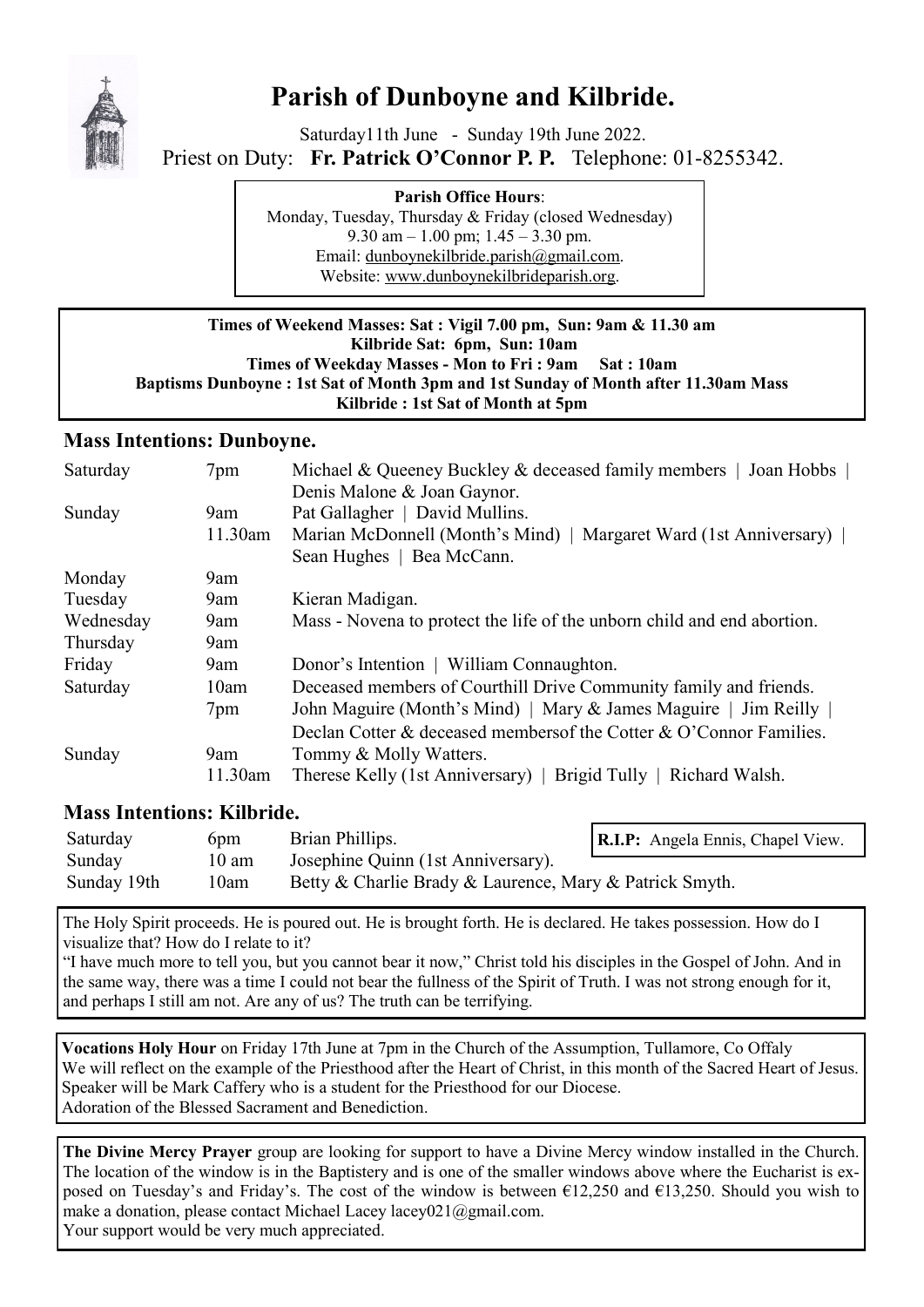

# **Parish of Dunboyne and Kilbride.**

Saturday11th June - Sunday 19th June 2022. Priest on Duty: **Fr. Patrick O'Connor P. P.** Telephone: 01-8255342.

> **Parish Office Hours**: Monday, Tuesday, Thursday & Friday (closed Wednesday) 9.30 am  $-1.00$  pm;  $1.45 - 3.30$  pm. Email: [dunboynekilbride.parish@gmail.com.](mailto:dunboynekilbride.parish@gmail.com) Website: [www.dunboynekilbrideparish.org.](http://www.dunboynekilbrideparish.org)

#### **Times of Weekend Masses: Sat : Vigil 7.00 pm, Sun: 9am & 11.30 am Kilbride Sat: 6pm, Sun: 10am Times of Weekday Masses - Mon to Fri : 9am Sat : 10am Baptisms Dunboyne : 1st Sat of Month 3pm and 1st Sunday of Month after 11.30am Mass Kilbride : 1st Sat of Month at 5pm**

# **Mass Intentions: Dunboyne.**

| Saturday  | 7pm     | Michael & Queeney Buckley & deceased family members   Joan Hobbs        |  |  |
|-----------|---------|-------------------------------------------------------------------------|--|--|
|           |         | Denis Malone & Joan Gaynor.                                             |  |  |
| Sunday    | 9am     | Pat Gallagher   David Mullins.                                          |  |  |
|           | 11.30am | Marian McDonnell (Month's Mind)   Margaret Ward (1st Anniversary)       |  |  |
|           |         | Sean Hughes   Bea McCann.                                               |  |  |
| Monday    | 9am     |                                                                         |  |  |
| Tuesday   | 9am     | Kieran Madigan.                                                         |  |  |
| Wednesday | 9am     | Mass - Novena to protect the life of the unborn child and end abortion. |  |  |
| Thursday  | 9am     |                                                                         |  |  |
| Friday    | 9am     | Donor's Intention   William Connaughton.                                |  |  |
| Saturday  | 10am    | Deceased members of Courthill Drive Community family and friends.       |  |  |
|           | 7pm     | John Maguire (Month's Mind)   Mary & James Maguire   Jim Reilly         |  |  |
|           |         | Declan Cotter & deceased members of the Cotter & O'Connor Families.     |  |  |
| Sunday    | 9am     | Tommy & Molly Watters.                                                  |  |  |
|           | 11.30am | Therese Kelly (1st Anniversary)   Brigid Tully   Richard Walsh.         |  |  |

# **Mass Intentions: Kilbride.**

| Saturday    | 6 <sub>pm</sub> | Brian Phillips.                                         | <b>R.I.P:</b> Angela Ennis, Chapel View. |
|-------------|-----------------|---------------------------------------------------------|------------------------------------------|
| Sunday      | $10 \text{ am}$ | Josephine Quinn (1st Anniversary).                      |                                          |
| Sunday 19th | 10am            | Betty & Charlie Brady & Laurence, Mary & Patrick Smyth. |                                          |

The Holy Spirit proceeds. He is poured out. He is brought forth. He is declared. He takes possession. How do I visualize that? How do I relate to it?

"I have much more to tell you, but you cannot bear it now," Christ told his disciples in the Gospel of John. And in the same way, there was a time I could not bear the fullness of the Spirit of Truth. I was not strong enough for it, and perhaps I still am not. Are any of us? The truth can be terrifying.

**Vocations Holy Hour** on Friday 17th June at 7pm in the Church of the Assumption, Tullamore, Co Offaly We will reflect on the example of the Priesthood after the Heart of Christ, in this month of the Sacred Heart of Jesus. Speaker will be Mark Caffery who is a student for the Priesthood for our Diocese. Adoration of the Blessed Sacrament and Benediction.

**The Divine Mercy Prayer** group are looking for support to have a Divine Mercy window installed in the Church. The location of the window is in the Baptistery and is one of the smaller windows above where the Eucharist is exposed on Tuesday's and Friday's. The cost of the window is between €12,250 and €13,250. Should you wish to make a donation, please contact Michael Lacey lacey021@gmail.com. Your support would be very much appreciated.